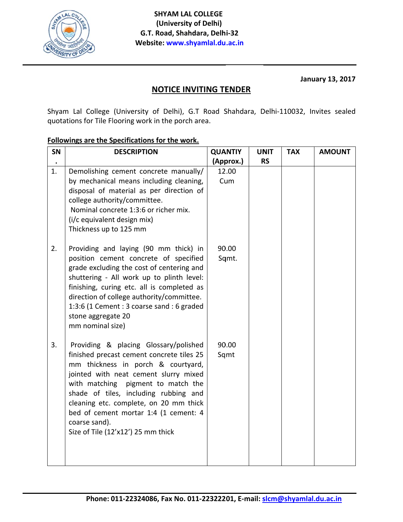

**January 13, 2017** 

## **NOTICE INVITING TENDER**

Shyam Lal College (University of Delhi), G.T Road Shahdara, Delhi-110032, Invites sealed quotations for Tile Flooring work in the porch area.

## Followings are the Specifications for the work.

| SN | <b>DESCRIPTION</b>                                                                                                                                                                                                                                                                                                                                                                         | <b>QUANTIY</b> | <b>UNIT</b> | <b>TAX</b> | <b>AMOUNT</b> |
|----|--------------------------------------------------------------------------------------------------------------------------------------------------------------------------------------------------------------------------------------------------------------------------------------------------------------------------------------------------------------------------------------------|----------------|-------------|------------|---------------|
|    |                                                                                                                                                                                                                                                                                                                                                                                            | (Approx.)      | <b>RS</b>   |            |               |
| 1. | Demolishing cement concrete manually/<br>by mechanical means including cleaning,<br>disposal of material as per direction of<br>college authority/committee.<br>Nominal concrete 1:3:6 or richer mix.<br>(i/c equivalent design mix)<br>Thickness up to 125 mm                                                                                                                             | 12.00<br>Cum   |             |            |               |
| 2. | Providing and laying (90 mm thick) in<br>position cement concrete of specified<br>grade excluding the cost of centering and<br>shuttering - All work up to plinth level:<br>finishing, curing etc. all is completed as<br>direction of college authority/committee.<br>1:3:6 (1 Cement : 3 coarse sand : 6 graded<br>stone aggregate 20<br>mm nominal size)                                | 90.00<br>Sqmt. |             |            |               |
| 3. | Providing & placing Glossary/polished<br>finished precast cement concrete tiles 25<br>mm thickness in porch & courtyard,<br>jointed with neat cement slurry mixed<br>with matching pigment to match the<br>shade of tiles, including rubbing and<br>cleaning etc. complete, on 20 mm thick<br>bed of cement mortar 1:4 (1 cement: 4<br>coarse sand).<br>Size of Tile (12'x12') 25 mm thick | 90.00<br>Sqmt  |             |            |               |